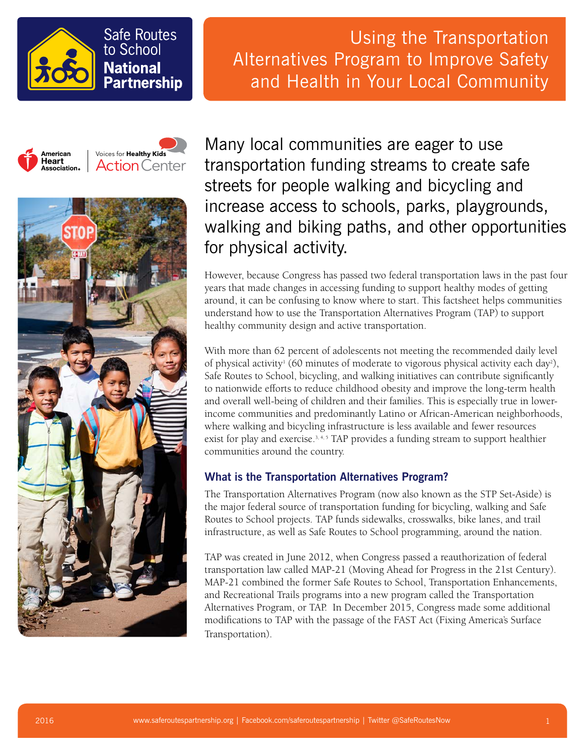

# **Safe Routes** to School **National Partnership**

Using the Transportation Alternatives Program to Improve Safety and Health in Your Local Community

American Voices for **Healthy Kids** Heart **Action** Center . .তα. .<br>Association 。



Many local communities are eager to use transportation funding streams to create safe streets for people walking and bicycling and increase access to schools, parks, playgrounds, walking and biking paths, and other opportunities for physical activity.

However, because Congress has passed two federal transportation laws in the past four years that made changes in accessing funding to support healthy modes of getting around, it can be confusing to know where to start. This factsheet helps communities understand how to use the Transportation Alternatives Program (TAP) to support healthy community design and active transportation.

With more than 62 percent of adolescents not meeting the recommended daily level of physical activity<sup>1</sup> (60 minutes of moderate to vigorous physical activity each day<sup>2</sup>), Safe Routes to School, bicycling, and walking initiatives can contribute significantly to nationwide efforts to reduce childhood obesity and improve the long-term health and overall well-being of children and their families. This is especially true in lowerincome communities and predominantly Latino or African-American neighborhoods, where walking and bicycling infrastructure is less available and fewer resources exist for play and exercise.<sup>3,4,5</sup> TAP provides a funding stream to support healthier communities around the country.

## **What is the Transportation Alternatives Program?**

The Transportation Alternatives Program (now also known as the STP Set-Aside) is the major federal source of transportation funding for bicycling, walking and Safe Routes to School projects. TAP funds sidewalks, crosswalks, bike lanes, and trail infrastructure, as well as Safe Routes to School programming, around the nation.

TAP was created in June 2012, when Congress passed a reauthorization of federal transportation law called MAP-21 (Moving Ahead for Progress in the 21st Century). MAP-21 combined the former Safe Routes to School, Transportation Enhancements, and Recreational Trails programs into a new program called the Transportation Alternatives Program, or TAP. In December 2015, Congress made some additional modifications to TAP with the passage of the FAST Act (Fixing America's Surface Transportation).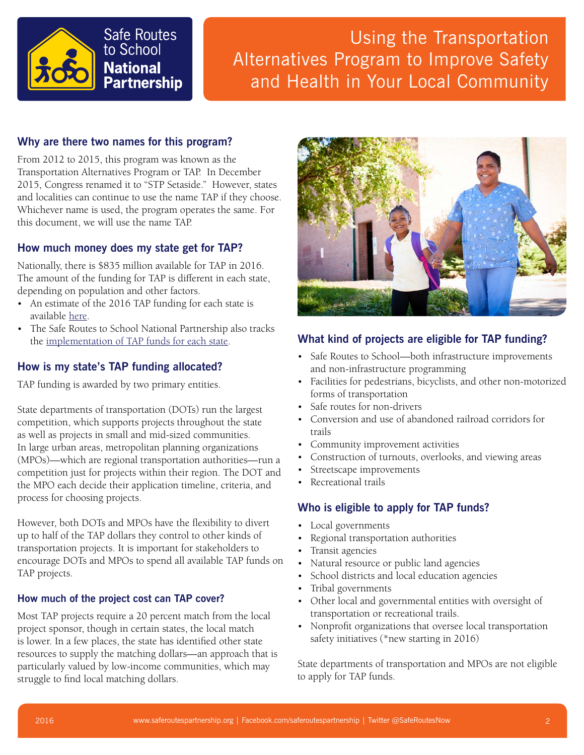

# Using the Transportation Alternatives Program to Improve Safety and Health in Your Local Community

### **Why are there two names for this program?**

From 2012 to 2015, this program was known as the Transportation Alternatives Program or TAP. In December 2015, Congress renamed it to "STP Setaside." However, states and localities can continue to use the name TAP if they choose. Whichever name is used, the program operates the same. For this document, we will use the name TAP.

#### **How much money does my state get for TAP?**

Nationally, there is \$835 million available for TAP in 2016. The amount of the funding for TAP is different in each state, depending on population and other factors.

- An estimate of the 2016 TAP funding for each state is available [here](http://saferoutespartnership.org/sites/default/files/pdf/tap-fy16-funding-estimates.pdf).
- The Safe Routes to School National Partnership also tracks the [implementation of TAP funds for each state](http://saferoutespartnership.org/healthy-communities/policy-change/state-implementation).

#### **How is my state's TAP funding allocated?**

TAP funding is awarded by two primary entities.

State departments of transportation (DOTs) run the largest competition, which supports projects throughout the state as well as projects in small and mid-sized communities. In large urban areas, metropolitan planning organizations (MPOs)—which are regional transportation authorities—run a competition just for projects within their region. The DOT and the MPO each decide their application timeline, criteria, and process for choosing projects.

However, both DOTs and MPOs have the flexibility to divert up to half of the TAP dollars they control to other kinds of transportation projects. It is important for stakeholders to encourage DOTs and MPOs to spend all available TAP funds on TAP projects.

#### **How much of the project cost can TAP cover?**

Most TAP projects require a 20 percent match from the local project sponsor, though in certain states, the local match is lower. In a few places, the state has identified other state resources to supply the matching dollars—an approach that is particularly valued by low-income communities, which may struggle to find local matching dollars.



#### **What kind of projects are eligible for TAP funding?**

- Safe Routes to School—both infrastructure improvements and non-infrastructure programming
- Facilities for pedestrians, bicyclists, and other non-motorized forms of transportation
- Safe routes for non-drivers
- Conversion and use of abandoned railroad corridors for trails
- Community improvement activities
- Construction of turnouts, overlooks, and viewing areas
- Streetscape improvements
- Recreational trails

#### **Who is eligible to apply for TAP funds?**

- Local governments
- Regional transportation authorities
- Transit agencies
- Natural resource or public land agencies
- School districts and local education agencies
- Tribal governments
- Other local and governmental entities with oversight of transportation or recreational trails.
- Nonprofit organizations that oversee local transportation safety initiatives (\*new starting in 2016)

State departments of transportation and MPOs are not eligible to apply for TAP funds.